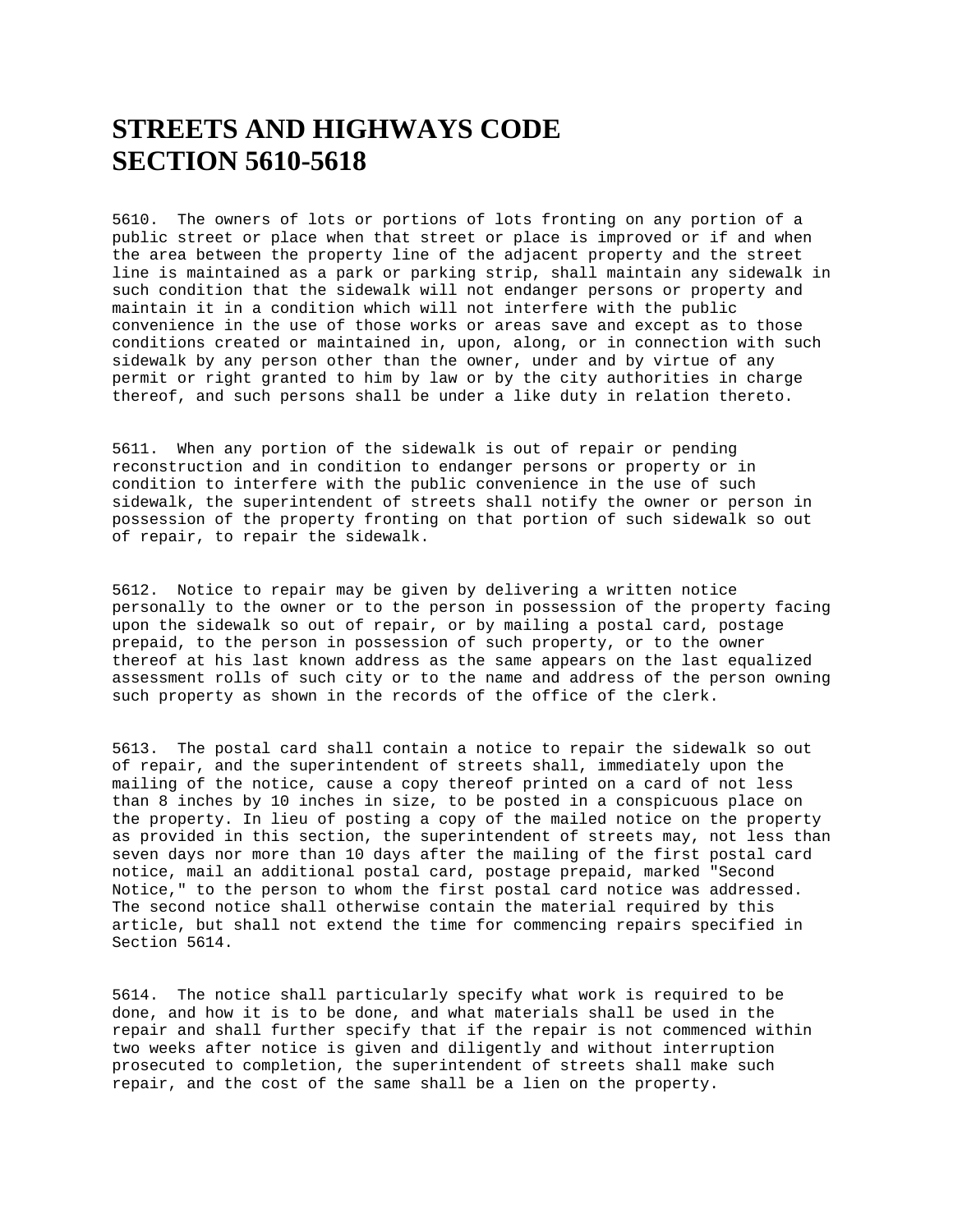## **STREETS AND HIGHWAYS CODE SECTION 5610-5618**

5610. The owners of lots or portions of lots fronting on any portion of a public street or place when that street or place is improved or if and when the area between the property line of the adjacent property and the street line is maintained as a park or parking strip, shall maintain any sidewalk in such condition that the sidewalk will not endanger persons or property and maintain it in a condition which will not interfere with the public convenience in the use of those works or areas save and except as to those conditions created or maintained in, upon, along, or in connection with such sidewalk by any person other than the owner, under and by virtue of any permit or right granted to him by law or by the city authorities in charge thereof, and such persons shall be under a like duty in relation thereto.

5611. When any portion of the sidewalk is out of repair or pending reconstruction and in condition to endanger persons or property or in condition to interfere with the public convenience in the use of such sidewalk, the superintendent of streets shall notify the owner or person in possession of the property fronting on that portion of such sidewalk so out of repair, to repair the sidewalk.

5612. Notice to repair may be given by delivering a written notice personally to the owner or to the person in possession of the property facing upon the sidewalk so out of repair, or by mailing a postal card, postage prepaid, to the person in possession of such property, or to the owner thereof at his last known address as the same appears on the last equalized assessment rolls of such city or to the name and address of the person owning such property as shown in the records of the office of the clerk.

5613. The postal card shall contain a notice to repair the sidewalk so out of repair, and the superintendent of streets shall, immediately upon the mailing of the notice, cause a copy thereof printed on a card of not less than 8 inches by 10 inches in size, to be posted in a conspicuous place on the property. In lieu of posting a copy of the mailed notice on the property as provided in this section, the superintendent of streets may, not less than seven days nor more than 10 days after the mailing of the first postal card notice, mail an additional postal card, postage prepaid, marked "Second Notice," to the person to whom the first postal card notice was addressed. The second notice shall otherwise contain the material required by this article, but shall not extend the time for commencing repairs specified in Section 5614.

5614. The notice shall particularly specify what work is required to be done, and how it is to be done, and what materials shall be used in the repair and shall further specify that if the repair is not commenced within two weeks after notice is given and diligently and without interruption prosecuted to completion, the superintendent of streets shall make such repair, and the cost of the same shall be a lien on the property.